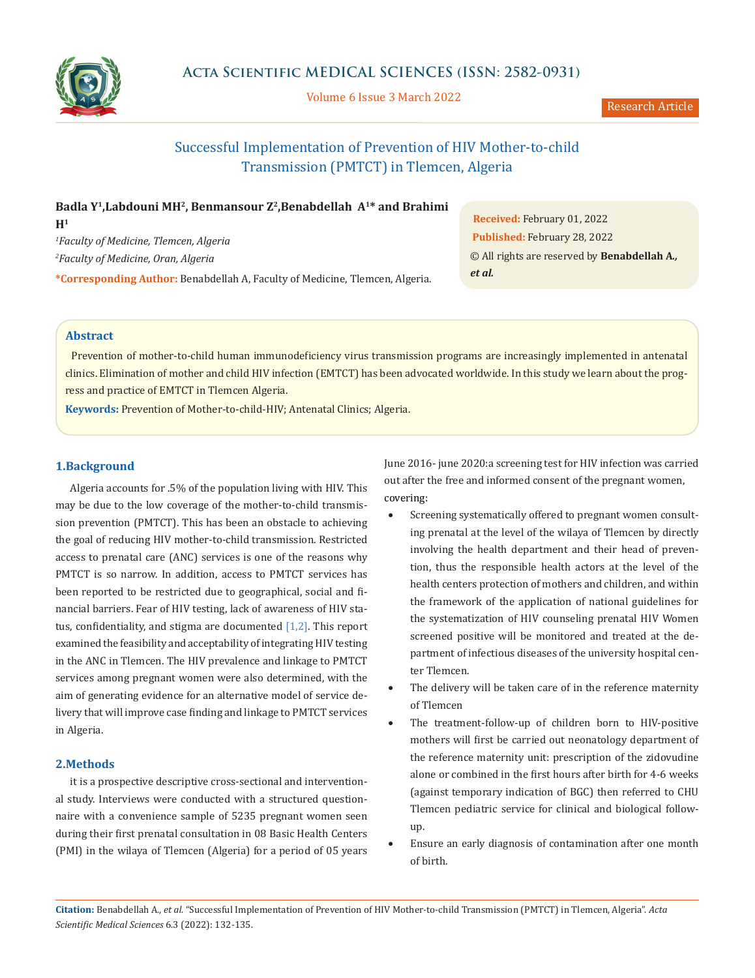

Volume 6 Issue 3 March 2022

Research Article

# Successful Implementation of Prevention of HIV Mother-to-child Transmission (PMTCT) in Tlemcen, Algeria

| Badla Y <sup>1</sup> , Labdouni MH <sup>2</sup> , Benmansour Z <sup>2</sup> , Benabdellah A <sup>1*</sup> and Brahimi |
|-----------------------------------------------------------------------------------------------------------------------|
| H <sup>1</sup>                                                                                                        |
| <sup>1</sup> Faculty of Medicine, Tlemcen, Algeria                                                                    |
| <sup>2</sup> Faculty of Medicine, Oran, Algeria                                                                       |
| <b>*Corresponding Author:</b> Benabdellah A, Faculty of Medicine, Tlemcen, Algeria.                                   |

**Received:** February 01, 2022 **Published:** February 28, 2022 © All rights are reserved by **Benabdellah A***., et al.*

# **Abstract**

 Prevention of mother-to-child human immunodeficiency virus transmission programs are increasingly implemented in antenatal clinics. Elimination of mother and child HIV infection (EMTCT) has been advocated worldwide. In this study we learn about the progress and practice of EMTCT in Tlemcen Algeria.

**Keywords:** Prevention of Mother-to-child-HIV; Antenatal Clinics; Algeria.

## **1.Background**

Algeria accounts for .5% of the population living with HIV. This may be due to the low coverage of the mother-to-child transmission prevention (PMTCT). This has been an obstacle to achieving the goal of reducing HIV mother-to-child transmission. Restricted access to prenatal care (ANC) services is one of the reasons why PMTCT is so narrow. In addition, access to PMTCT services has been reported to be restricted due to geographical, social and financial barriers. Fear of HIV testing, lack of awareness of HIV status, confidentiality, and stigma are documented  $[1,2]$ . This report examined the feasibility and acceptability of integrating HIV testing in the ANC in Tlemcen. The HIV prevalence and linkage to PMTCT services among pregnant women were also determined, with the aim of generating evidence for an alternative model of service delivery that will improve case finding and linkage to PMTCT services in Algeria.

## **2.Methods**

it is a prospective descriptive cross-sectional and interventional study. Interviews were conducted with a structured questionnaire with a convenience sample of 5235 pregnant women seen during their first prenatal consultation in 08 Basic Health Centers (PMI) in the wilaya of Tlemcen (Algeria) for a period of 05 years June 2016- june 2020:a screening test for HIV infection was carried out after the free and informed consent of the pregnant women, covering:

- Screening systematically offered to pregnant women consulting prenatal at the level of the wilaya of Tlemcen by directly involving the health department and their head of prevention, thus the responsible health actors at the level of the health centers protection of mothers and children, and within the framework of the application of national guidelines for the systematization of HIV counseling prenatal HIV Women screened positive will be monitored and treated at the department of infectious diseases of the university hospital center Tlemcen.
- The delivery will be taken care of in the reference maternity of Tlemcen
- The treatment-follow-up of children born to HIV-positive mothers will first be carried out neonatology department of the reference maternity unit: prescription of the zidovudine alone or combined in the first hours after birth for 4-6 weeks (against temporary indication of BGC) then referred to CHU Tlemcen pediatric service for clinical and biological followup.
- Ensure an early diagnosis of contamination after one month of birth.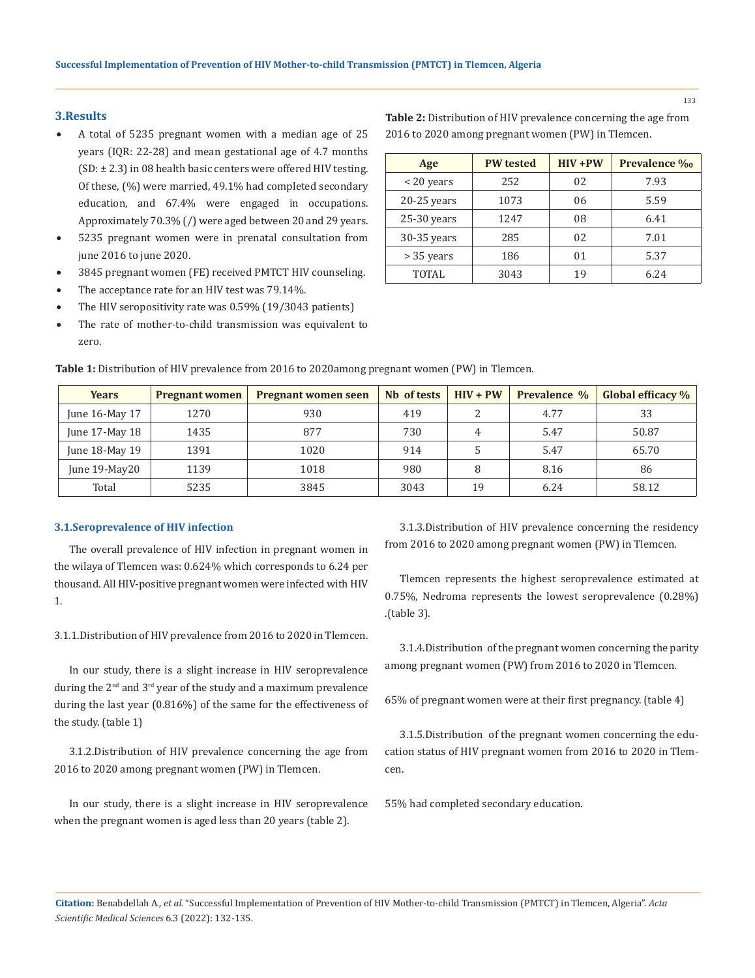#### 133

## **3.Results**

- A total of 5235 pregnant women with a median age of 25 years (IQR: 22-28) and mean gestational age of 4.7 months (SD: ± 2.3) in 08 health basic centers were offered HIV testing. Of these, (%) were married, 49.1% had completed secondary education, and 67.4% were engaged in occupations. Approximately 70.3% (/) were aged between 20 and 29 years.
- 5235 pregnant women were in prenatal consultation from june 2016 to june 2020.
- 3845 pregnant women (FE) received PMTCT HIV counseling.
- The acceptance rate for an HIV test was 79.14%.
- The HIV seropositivity rate was  $0.59\%$  (19/3043 patients)
- The rate of mother-to-child transmission was equivalent to zero.

| Age           | <b>PW</b> tested | $HIV + PW$ | Prevalence %o |
|---------------|------------------|------------|---------------|
| $<$ 20 years  | 252              | 02         | 7.93          |
| 20-25 years   | 1073             | 06         | 5.59          |
| $25-30$ years | 1247             | 08         | 6.41          |
| 30-35 years   | 285              | 02         | 7.01          |
| > 35 years    | 186              | 01         | 5.37          |
| <b>TOTAL</b>  | 3043             | 19         | 6.24          |

**Table 2:** Distribution of HIV prevalence concerning the age from

2016 to 2020 among pregnant women (PW) in Tlemcen.

| <b>Table 1:</b> Distribution of HIV prevalence from 2016 to 2020among pregnant women (PW) in Tlemcen. |  |
|-------------------------------------------------------------------------------------------------------|--|
|-------------------------------------------------------------------------------------------------------|--|

| <b>Years</b>        | <b>Pregnant women</b> | <b>Pregnant women seen</b> | Nb of tests | $HIV + PW$ | Prevalence % | Global efficacy % |
|---------------------|-----------------------|----------------------------|-------------|------------|--------------|-------------------|
| June 16-May 17      | 1270                  | 930                        | 419         |            | 4.77         | 33                |
| June $17$ -May $18$ | 1435                  | 877                        | 730         | 4          | 5.47         | 50.87             |
| June 18-May 19      | 1391                  | 1020                       | 914         |            | 5.47         | 65.70             |
| June 19-May20       | 1139                  | 1018                       | 980         |            | 8.16         | 86                |
| Total               | 5235                  | 3845                       | 3043        | 19         | 6.24         | 58.12             |

#### **3.1.Seroprevalence of HIV infection**

The overall prevalence of HIV infection in pregnant women in the wilaya of Tlemcen was: 0.624% which corresponds to 6.24 per thousand. All HIV-positive pregnant women were infected with HIV 1.

3.1.1.Distribution of HIV prevalence from 2016 to 2020 in Tlemcen.

In our study, there is a slight increase in HIV seroprevalence during the 2<sup>nd</sup> and 3<sup>rd</sup> year of the study and a maximum prevalence during the last year (0.816%) of the same for the effectiveness of the study. (table 1)

3.1.2.Distribution of HIV prevalence concerning the age from 2016 to 2020 among pregnant women (PW) in Tlemcen.

In our study, there is a slight increase in HIV seroprevalence when the pregnant women is aged less than 20 years (table 2).

3.1.3.Distribution of HIV prevalence concerning the residency from 2016 to 2020 among pregnant women (PW) in Tlemcen.

Tlemcen represents the highest seroprevalence estimated at 0.75%, Nedroma represents the lowest seroprevalence (0.28%) .(table 3).

3.1.4.Distribution of the pregnant women concerning the parity among pregnant women (PW) from 2016 to 2020 in Tlemcen.

65% of pregnant women were at their first pregnancy. (table 4)

3.1.5.Distribution of the pregnant women concerning the education status of HIV pregnant women from 2016 to 2020 in Tlemcen.

55% had completed secondary education.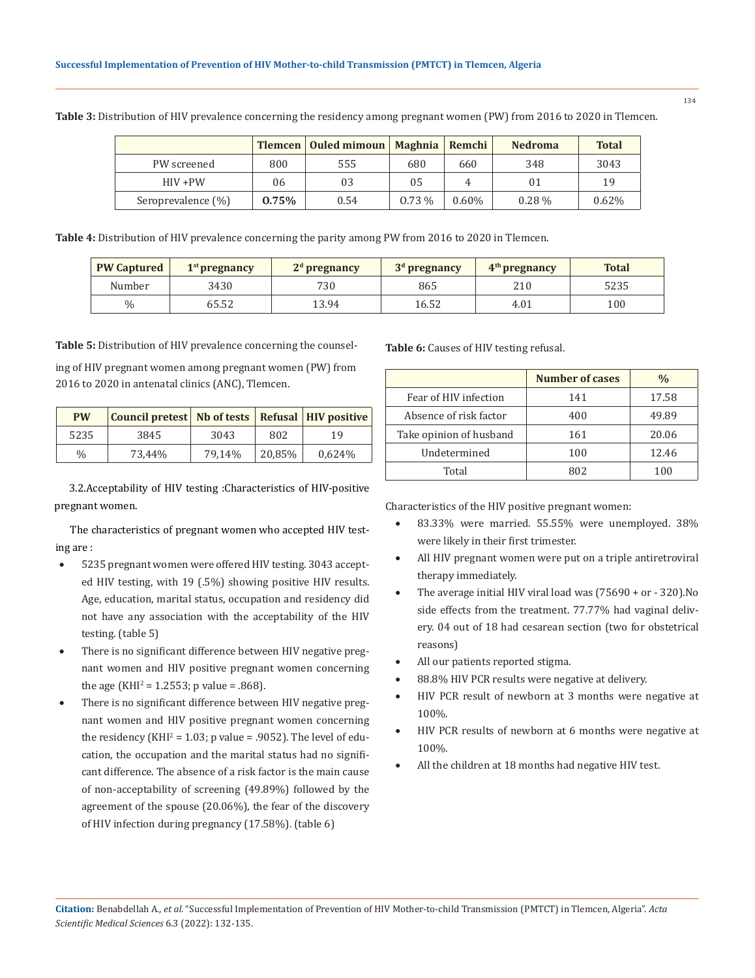|                    |       | Tlemcen   Ouled mimoun   Maghnia   Remchi |          |          | <b>Nedroma</b> | <b>Total</b> |
|--------------------|-------|-------------------------------------------|----------|----------|----------------|--------------|
| PW screened        | 800   | 555                                       | 680      | 660      | 348            | 3043         |
| $HIV + PW$         | 06    | 03                                        | 05       | 4        | 01             | 19           |
| Seroprevalence (%) | 0.75% | 0.54                                      | $0.73\%$ | $0.60\%$ | $0.28\%$       | 0.62%        |

**Table 3:** Distribution of HIV prevalence concerning the residency among pregnant women (PW) from 2016 to 2020 in Tlemcen.

**Table 4:** Distribution of HIV prevalence concerning the parity among PW from 2016 to 2020 in Tlemcen.

| <b>PW Captured</b> | $1st$ pregnancy | $2d$ pregnancy | $3d$ pregnancy | $4th$ pregnancy | <b>Total</b> |
|--------------------|-----------------|----------------|----------------|-----------------|--------------|
| Number             | 3430            | 730            | 865            | 210             | 5235         |
| $\%$               | 65.52           | 13.94          | 16.52          | 4.01            | 100          |

**Table 5:** Distribution of HIV prevalence concerning the counsel-

ing of HIV pregnant women among pregnant women (PW) from 2016 to 2020 in antenatal clinics (ANC), Tlemcen.

| <b>PW</b> | <b>Council pretest</b>   Nb of tests   Refusal   HIV positive |        |        |        |
|-----------|---------------------------------------------------------------|--------|--------|--------|
| 5235      | 3845                                                          | 3043   | 802    | 19     |
| $\%$      | 73,44%                                                        | 79.14% | 20,85% | 0,624% |

3.2.Acceptability of HIV testing :Characteristics of HIV-positive pregnant women.

The characteristics of pregnant women who accepted HIV testing are :

- 5235 pregnant women were offered HIV testing. 3043 accepted HIV testing, with 19 (.5%) showing positive HIV results. Age, education, marital status, occupation and residency did not have any association with the acceptability of the HIV testing. (table 5)
- There is no significant difference between HIV negative pregnant women and HIV positive pregnant women concerning the age (KHI<sup>2</sup> = 1.2553; p value = .868).
- There is no significant difference between HIV negative pregnant women and HIV positive pregnant women concerning the residency (KHI<sup>2</sup> =  $1.03$ ; p value = .9052). The level of education, the occupation and the marital status had no significant difference. The absence of a risk factor is the main cause of non-acceptability of screening (49.89%) followed by the agreement of the spouse (20.06%), the fear of the discovery of HIV infection during pregnancy (17.58%). (table 6)

**Table 6:** Causes of HIV testing refusal.

|                         | Number of cases | $\frac{0}{0}$ |
|-------------------------|-----------------|---------------|
| Fear of HIV infection   | 141             | 17.58         |
| Absence of risk factor  | 400             | 49.89         |
| Take opinion of husband | 161             | 20.06         |
| Undetermined            | 100             | 12.46         |
| Total                   | 802             | 100           |

Characteristics of the HIV positive pregnant women:

- 83.33% were married. 55.55% were unemployed. 38% were likely in their first trimester.
- All HIV pregnant women were put on a triple antiretroviral therapy immediately.
- The average initial HIV viral load was  $(75690 + or 320)$ .No side effects from the treatment. 77.77% had vaginal delivery. 04 out of 18 had cesarean section (two for obstetrical reasons)
- All our patients reported stigma.
- 88.8% HIV PCR results were negative at delivery.
- HIV PCR result of newborn at 3 months were negative at 100%.
- HIV PCR results of newborn at 6 months were negative at 100%.
- All the children at 18 months had negative HIV test.